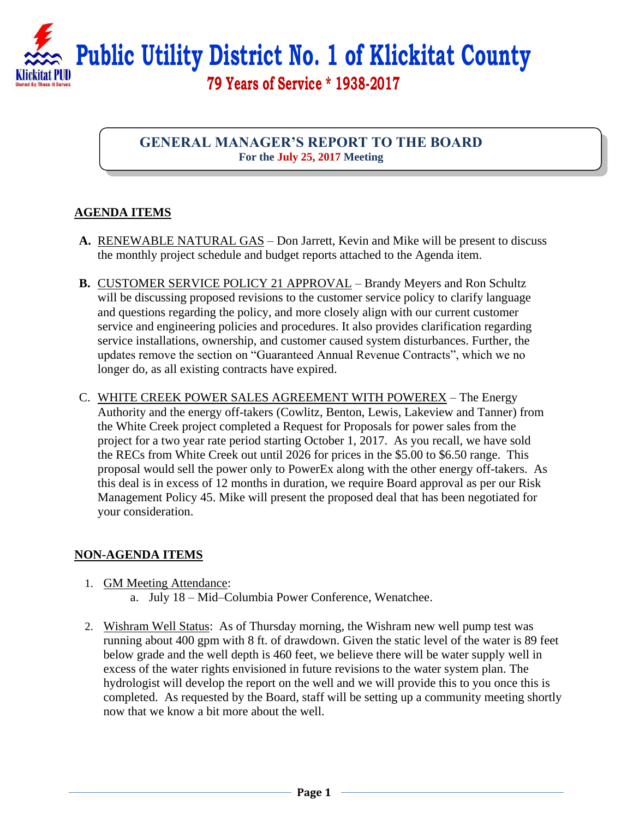

**GENERAL MANAGER'S REPORT TO THE BOARD For the July 25, 2017 Meeting**

## **AGENDA ITEMS**

- **A.** RENEWABLE NATURAL GAS Don Jarrett, Kevin and Mike will be present to discuss the monthly project schedule and budget reports attached to the Agenda item.
- **B.** CUSTOMER SERVICE POLICY 21 APPROVAL Brandy Meyers and Ron Schultz will be discussing proposed revisions to the customer service policy to clarify language and questions regarding the policy, and more closely align with our current customer service and engineering policies and procedures. It also provides clarification regarding service installations, ownership, and customer caused system disturbances. Further, the updates remove the section on "Guaranteed Annual Revenue Contracts", which we no longer do, as all existing contracts have expired.
- C. WHITE CREEK POWER SALES AGREEMENT WITH POWEREX The Energy Authority and the energy off-takers (Cowlitz, Benton, Lewis, Lakeview and Tanner) from the White Creek project completed a Request for Proposals for power sales from the project for a two year rate period starting October 1, 2017. As you recall, we have sold the RECs from White Creek out until 2026 for prices in the \$5.00 to \$6.50 range. This proposal would sell the power only to PowerEx along with the other energy off-takers. As this deal is in excess of 12 months in duration, we require Board approval as per our Risk Management Policy 45. Mike will present the proposed deal that has been negotiated for your consideration.

## **NON-AGENDA ITEMS**

- 1. GM Meeting Attendance:
	- a. July 18 Mid–Columbia Power Conference, Wenatchee.
- 2. Wishram Well Status: As of Thursday morning, the Wishram new well pump test was running about 400 gpm with 8 ft. of drawdown. Given the static level of the water is 89 feet below grade and the well depth is 460 feet, we believe there will be water supply well in excess of the water rights envisioned in future revisions to the water system plan. The hydrologist will develop the report on the well and we will provide this to you once this is completed. As requested by the Board, staff will be setting up a community meeting shortly now that we know a bit more about the well.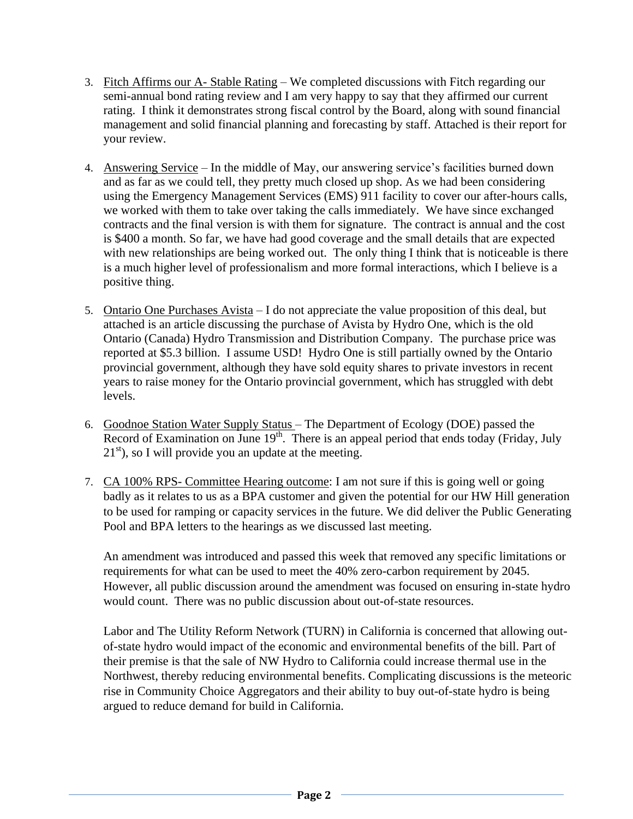- 3. Fitch Affirms our A- Stable Rating We completed discussions with Fitch regarding our semi-annual bond rating review and I am very happy to say that they affirmed our current rating. I think it demonstrates strong fiscal control by the Board, along with sound financial management and solid financial planning and forecasting by staff. Attached is their report for your review.
- 4. Answering Service In the middle of May, our answering service's facilities burned down and as far as we could tell, they pretty much closed up shop. As we had been considering using the Emergency Management Services (EMS) 911 facility to cover our after-hours calls, we worked with them to take over taking the calls immediately. We have since exchanged contracts and the final version is with them for signature. The contract is annual and the cost is \$400 a month. So far, we have had good coverage and the small details that are expected with new relationships are being worked out. The only thing I think that is noticeable is there is a much higher level of professionalism and more formal interactions, which I believe is a positive thing.
- 5. Ontario One Purchases Avista I do not appreciate the value proposition of this deal, but attached is an article discussing the purchase of Avista by Hydro One, which is the old Ontario (Canada) Hydro Transmission and Distribution Company. The purchase price was reported at \$5.3 billion. I assume USD! Hydro One is still partially owned by the Ontario provincial government, although they have sold equity shares to private investors in recent years to raise money for the Ontario provincial government, which has struggled with debt levels.
- 6. Goodnoe Station Water Supply Status The Department of Ecology (DOE) passed the Record of Examination on June  $19<sup>th</sup>$ . There is an appeal period that ends today (Friday, July  $21<sup>st</sup>$ ), so I will provide you an update at the meeting.
- 7. CA 100% RPS- Committee Hearing outcome: I am not sure if this is going well or going badly as it relates to us as a BPA customer and given the potential for our HW Hill generation to be used for ramping or capacity services in the future. We did deliver the Public Generating Pool and BPA letters to the hearings as we discussed last meeting.

An amendment was introduced and passed this week that removed any specific limitations or requirements for what can be used to meet the 40% zero-carbon requirement by 2045. However, all public discussion around the amendment was focused on ensuring in-state hydro would count. There was no public discussion about out-of-state resources.

Labor and The Utility Reform Network (TURN) in California is concerned that allowing outof-state hydro would impact of the economic and environmental benefits of the bill. Part of their premise is that the sale of NW Hydro to California could increase thermal use in the Northwest, thereby reducing environmental benefits. Complicating discussions is the meteoric rise in Community Choice Aggregators and their ability to buy out-of-state hydro is being argued to reduce demand for build in California.